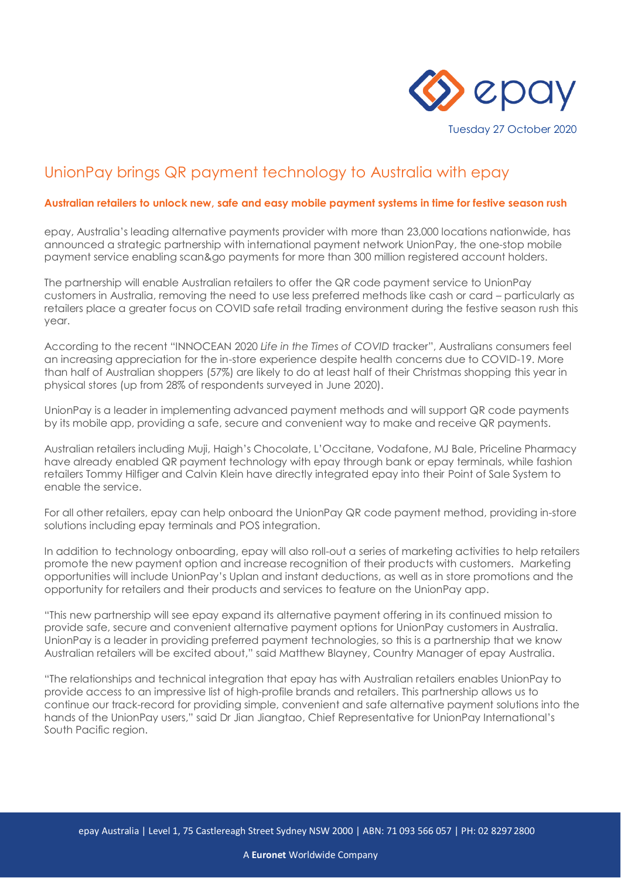

# UnionPay brings QR payment technology to Australia with epay

#### **Australian retailers to unlock new, safe and easy mobile payment systems in time for festive season rush**

epay, Australia's leading alternative payments provider with more than 23,000 locations nationwide, has announced a strategic partnership with international payment network UnionPay, the one-stop mobile payment service enabling scan&go payments for more than 300 million registered account holders.

The partnership will enable Australian retailers to offer the QR code payment service to UnionPay customers in Australia, removing the need to use less preferred methods like cash or card – particularly as retailers place a greater focus on COVID safe retail trading environment during the festive season rush this year.

According to the recent "INNOCEAN 2020 *Life in the Times of COVID* tracker", Australians consumers feel an increasing appreciation for the in-store experience despite health concerns due to COVID-19. More than half of Australian shoppers (57%) are likely to do at least half of their Christmas shopping this year in physical stores (up from 28% of respondents surveyed in June 2020).

UnionPay is a leader in implementing advanced payment methods and will support QR code payments by its mobile app, providing a safe, secure and convenient way to make and receive QR payments.

Australian retailers including Muji, Haigh's Chocolate, L'Occitane, Vodafone, MJ Bale, Priceline Pharmacy have already enabled QR payment technology with epay through bank or epay terminals, while fashion retailers Tommy Hilfiger and Calvin Klein have directly integrated epay into their Point of Sale System to enable the service.

For all other retailers, epay can help onboard the UnionPay QR code payment method, providing in-store solutions including epay terminals and POS integration.

In addition to technology onboarding, epay will also roll-out a series of marketing activities to help retailers promote the new payment option and increase recognition of their products with customers. Marketing opportunities will include UnionPay's Uplan and instant deductions, as well as in store promotions and the opportunity for retailers and their products and services to feature on the UnionPay app.

"This new partnership will see epay expand its alternative payment offering in its continued mission to provide safe, secure and convenient alternative payment options for UnionPay customers in Australia. UnionPay is a leader in providing preferred payment technologies, so this is a partnership that we know Australian retailers will be excited about," said Matthew Blayney, Country Manager of epay Australia.

"The relationships and technical integration that epay has with Australian retailers enables UnionPay to provide access to an impressive list of high-profile brands and retailers. This partnership allows us to continue our track-record for providing simple, convenient and safe alternative payment solutions into the hands of the UnionPay users," said Dr Jian Jiangtao, Chief Representative for UnionPay International's South Pacific region.